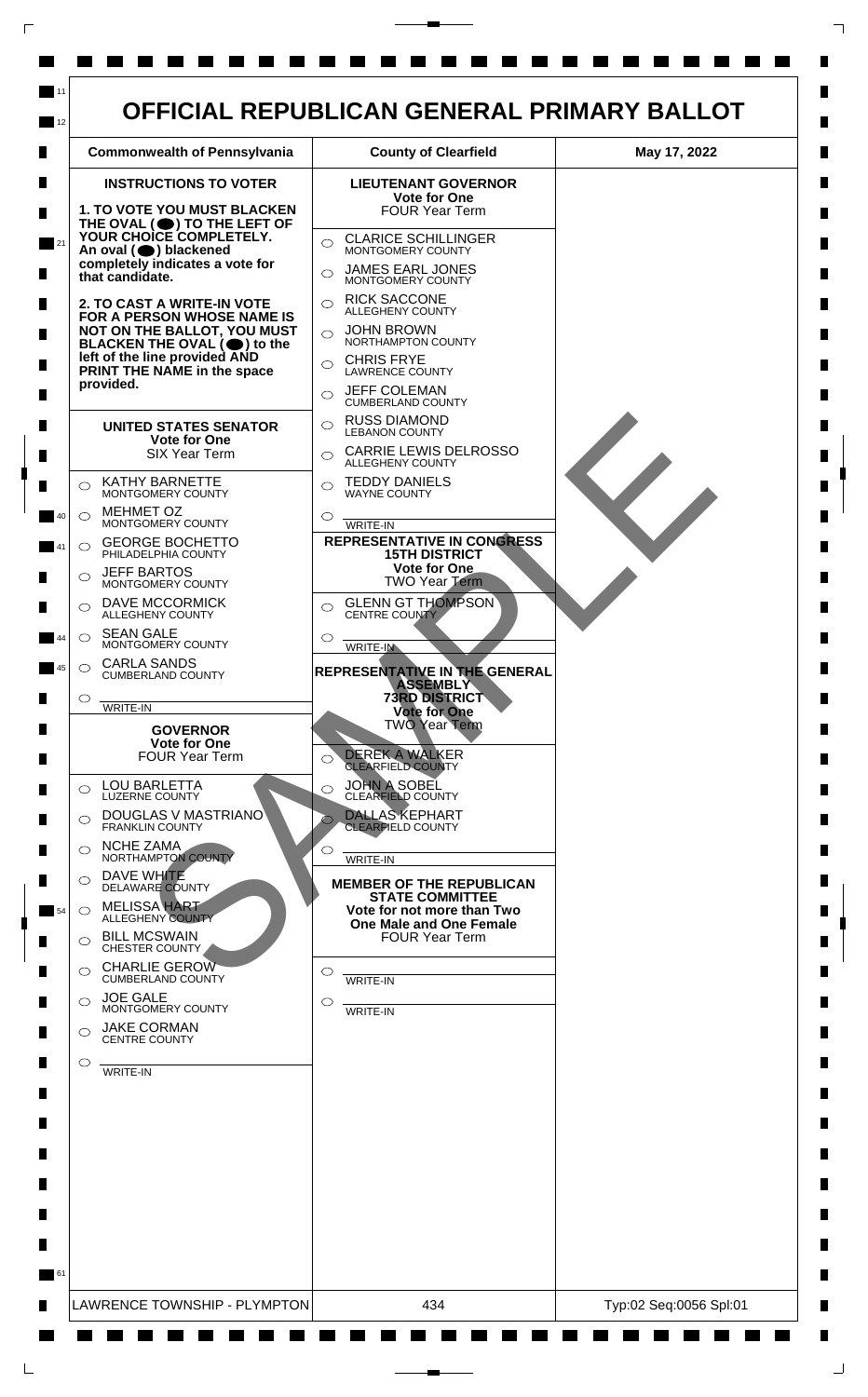

 $\mathsf{L}$